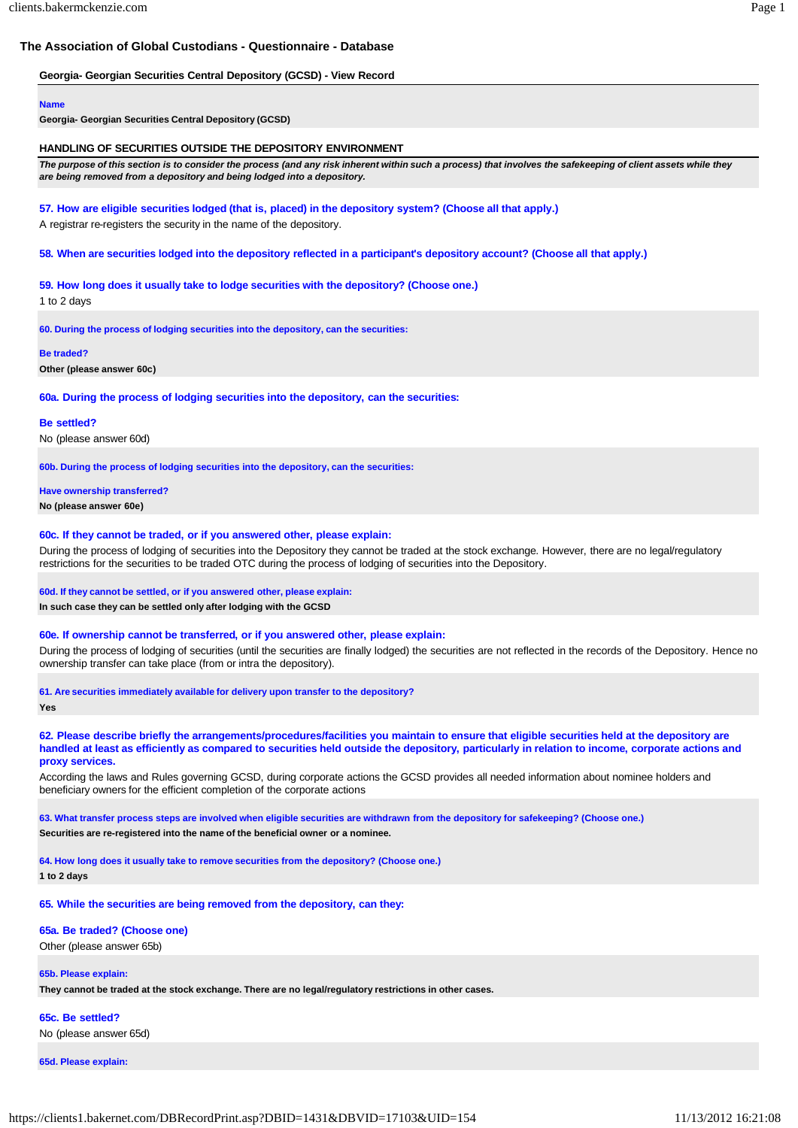# **The Association of Global Custodians - Questionnaire - Database**

# **Georgia- Georgian Securities Central Depository (GCSD) - View Record**

#### **Name**

**Georgia- Georgian Securities Central Depository (GCSD)**

# **HANDLING OF SECURITIES OUTSIDE THE DEPOSITORY ENVIRONMENT**

The purpose of this section is to consider the process (and any risk inherent within such a process) that involves the safekeeping of client assets while they *are being removed from a depository and being lodged into a depository.*

# **57. How are eligible securities lodged (that is, placed) in the depository system? (Choose all that apply.)**

A registrar re-registers the security in the name of the depository.

**58. When are securities lodged into the depository reflected in a participant's depository account? (Choose all that apply.)**

# **59. How long does it usually take to lodge securities with the depository? (Choose one.)**

1 to 2 days

**60. During the process of lodging securities into the depository, can the securities:**

**Be traded?**

**Other (please answer 60c)**

**60a. During the process of lodging securities into the depository, can the securities:**

#### **Be settled?**

No (please answer 60d)

**60b. During the process of lodging securities into the depository, can the securities:**

# **Have ownership transferred?**

**No (please answer 60e)**

# **60c. If they cannot be traded, or if you answered other, please explain:**

During the process of lodging of securities into the Depository they cannot be traded at the stock exchange. However, there are no legal/regulatory restrictions for the securities to be traded OTC during the process of lodging of securities into the Depository.

# **60d. If they cannot be settled, or if you answered other, please explain:**

**In such case they can be settled only after lodging with the GCSD**

# **60e. If ownership cannot be transferred, or if you answered other, please explain:**

During the process of lodging of securities (until the securities are finally lodged) the securities are not reflected in the records of the Depository. Hence no ownership transfer can take place (from or intra the depository).

**61. Are securities immediately available for delivery upon transfer to the depository?**

**Yes**

**62. Please describe briefly the arrangements/procedures/facilities you maintain to ensure that eligible securities held at the depository are** handled at least as efficiently as compared to securities held outside the depository, particularly in relation to income, corporate actions and **proxy services.**

According the laws and Rules governing GCSD, during corporate actions the GCSD provides all needed information about nominee holders and beneficiary owners for the efficient completion of the corporate actions

**63. What transfer process steps are involved when eligible securities are withdrawn from the depository for safekeeping? (Choose one.) Securities are re-registered into the name of the beneficial owner or a nominee.**

**64. How long does it usually take to remove securities from the depository? (Choose one.) 1 to 2 days**

**65. While the securities are being removed from the depository, can they:**

# **65a. Be traded? (Choose one)**

Other (please answer 65b)

# **65b. Please explain:**

**They cannot be traded at the stock exchange. There are no legal/regulatory restrictions in other cases.**

**65c. Be settled?** No (please answer 65d)

**65d. Please explain:**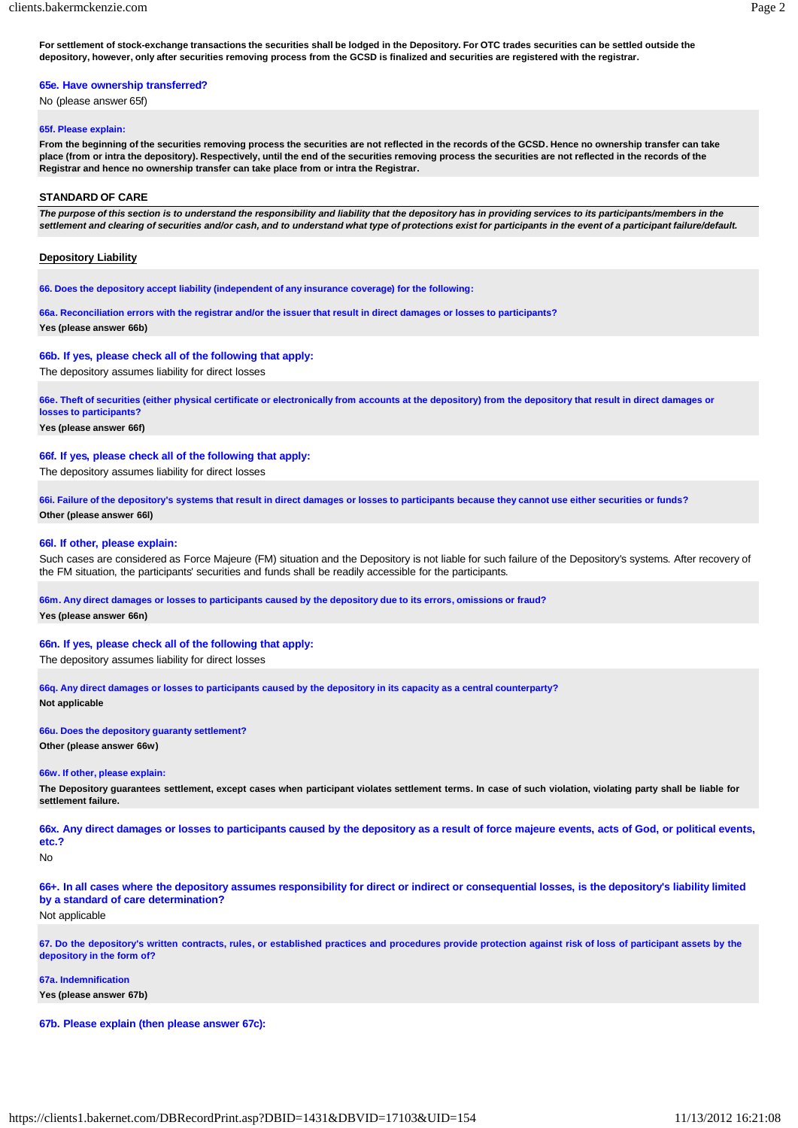**For settlement of stock-exchange transactions the securities shall be lodged in the Depository. For OTC trades securities can be settled outside the depository, however, only after securities removing process from the GCSD is finalized and securities are registered with the registrar.**

# **65e. Have ownership transferred?**

No (please answer 65f)

# **65f. Please explain:**

**From the beginning of the securities removing process the securities are not reflected in the records of the GCSD. Hence no ownership transfer can take place (from or intra the depository). Respectively, until the end of the securities removing process the securities are not reflected in the records of the Registrar and hence no ownership transfer can take place from or intra the Registrar.**

# **STANDARD OF CARE**

The purpose of this section is to understand the responsibility and liability that the depository has in providing services to its participants/members in the settlement and clearing of securities and/or cash, and to understand what type of protections exist for participants in the event of a participant failure/default.

# **Depository Liability**

**66. Does the depository accept liability (independent of any insurance coverage) for the following:**

**66a. Reconciliation errors with the registrar and/or the issuer that result in direct damages or losses to participants? Yes (please answer 66b)**

# **66b. If yes, please check all of the following that apply:**

The depository assumes liability for direct losses

**66e. Theft of securities (either physical certificate or electronically from accounts at the depository) from the depository that result in direct damages or losses to participants?**

#### **Yes (please answer 66f)**

# **66f. If yes, please check all of the following that apply:**

The depository assumes liability for direct losses

**66i. Failure of the depository's systems that result in direct damages or losses to participants because they cannot use either securities or funds? Other (please answer 66l)**

#### **66l. If other, please explain:**

Such cases are considered as Force Majeure (FM) situation and the Depository is not liable for such failure of the Depository's systems. After recovery of the FM situation, the participants' securities and funds shall be readily accessible for the participants.

#### **66m. Any direct damages or losses to participants caused by the depository due to its errors, omissions or fraud?**

**Yes (please answer 66n)**

# **66n. If yes, please check all of the following that apply:**

The depository assumes liability for direct losses

**66q. Any direct damages or losses to participants caused by the depository in its capacity as a central counterparty? Not applicable**

## **66u. Does the depository guaranty settlement? Other (please answer 66w)**

#### **66w. If other, please explain:**

The Depository guarantees settlement, except cases when participant violates settlement terms. In case of such violation, violating party shall be liable for **settlement failure.**

66x. Any direct damages or losses to participants caused by the depository as a result of force majeure events, acts of God, or political events, **etc.?**

#### No

66+. In all cases where the depository assumes responsibility for direct or indirect or consequential losses, is the depository's liability limited **by a standard of care determination?**

# Not applicable

67. Do the depository's written contracts, rules, or established practices and procedures provide protection against risk of loss of participant assets by the **depository in the form of?**

#### **67a. Indemnification**

**Yes (please answer 67b)**

# **67b. Please explain (then please answer 67c):**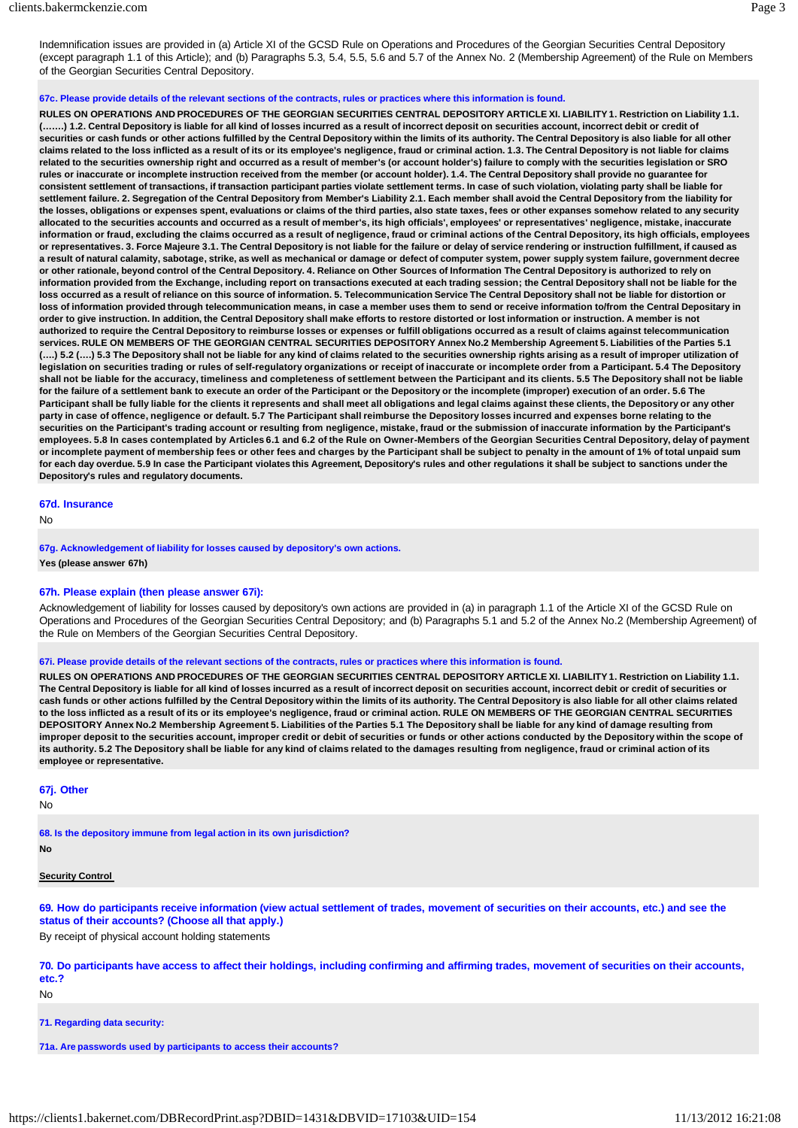Indemnification issues are provided in (a) Article XI of the GCSD Rule on Operations and Procedures of the Georgian Securities Central Depository (except paragraph 1.1 of this Article); and (b) Paragraphs 5.3, 5.4, 5.5, 5.6 and 5.7 of the Annex No. 2 (Membership Agreement) of the Rule on Members of the Georgian Securities Central Depository.

**67c. Please provide details of the relevant sections of the contracts, rules or practices where this information is found.**

**RULES ON OPERATIONS AND PROCEDURES OF THE GEORGIAN SECURITIES CENTRAL DEPOSITORY ARTICLE XI. LIABILITY1. Restriction on Liability 1.1.** (.......) 1.2. Central Depository is liable for all kind of losses incurred as a result of incorrect deposit on securities account, incorrect debit or credit of securities or cash funds or other actions fulfilled by the Central Depository within the limits of its authority. The Central Depository is also liable for all other claims related to the loss inflicted as a result of its or its employee's negligence, fraud or criminal action. 1.3. The Central Depository is not liable for claims **related to the securities ownership right and occurred as a result of member's (or account holder's) failure to comply with the securities legislation or SRO** rules or inaccurate or incomplete instruction received from the member (or account holder). 1.4. The Central Depository shall provide no guarantee for consistent settlement of transactions, if transaction participant parties violate settlement terms. In case of such violation, violating party shall be liable for settlement failure. 2. Segregation of the Central Depository from Member's Liability 2.1. Each member shall avoid the Central Depository from the liability for the losses, obligations or expenses spent, evaluations or claims of the third parties, also state taxes, fees or other expanses somehow related to any security **allocated to the securities accounts and occurred as a result of member's, its high officials', employees' or representatives' negligence, mistake, inaccurate**  information or fraud, excluding the claims occurred as a result of negligence, fraud or criminal actions of the Central Depository, its high officials, employees or representatives. 3. Force Majeure 3.1. The Central Depository is not liable for the failure or delay of service rendering or instruction fulfillment, if caused as a result of natural calamity, sabotage, strike, as well as mechanical or damage or defect of computer system, power supply system failure, government decree or other rationale, beyond control of the Central Depository. 4. Reliance on Other Sources of Information The Central Depository is authorized to rely on **information provided from the Exchange, including report on transactions executed at each trading session; the Central Depository shall not be liable for the** loss occurred as a result of reliance on this source of information. 5. Telecommunication Service The Central Depository shall not be liable for distortion or **loss of information provided through telecommunication means, in case a member uses them to send or receive information to/from the Central Depositary in order to give instruction. In addition, the Central Depository shall make efforts to restore distorted or lost information or instruction. A member is not authorized to require the Central Depository to reimburse losses or expenses or fulfill obligations occurred as a result of claims against telecommunication services. RULE ON MEMBERS OF THE GEORGIAN CENTRAL SECURITIES DEPOSITORY Annex No.2 Membership Agreement 5. Liabilities of the Parties 5.1** (....) 5.2 (....) 5.3 The Depository shall not be liable for any kind of claims related to the securities ownership rights arising as a result of improper utilization of legislation on securities trading or rules of self-regulatory organizations or receipt of inaccurate or incomplete order from a Participant. 5.4 The Depository shall not be liable for the accuracy, timeliness and completeness of settlement between the Participant and its clients. 5.5 The Depository shall not be liable **for the failure of a settlement bank to execute an order of the Participant or the Depository or the incomplete (improper) execution of an order. 5.6 The**  Participant shall be fully liable for the clients it represents and shall meet all obligations and legal claims against these clients, the Depository or any other party in case of offence, negligence or default. 5.7 The Participant shall reimburse the Depository losses incurred and expenses borne relating to the **securities on the Participant's trading account or resulting from negligence, mistake, fraud or the submission of inaccurate information by the Participant's**  employees. 5.8 In cases contemplated by Articles 6.1 and 6.2 of the Rule on Owner-Members of the Georgian Securities Central Depository, delay of payment or incomplete payment of membership fees or other fees and charges by the Participant shall be subject to penalty in the amount of 1% of total unpaid sum for each day overdue. 5.9 In case the Participant violates this Agreement, Depository's rules and other regulations it shall be subject to sanctions under the **Depository's rules and regulatory documents.**

# **67d. Insurance**

No

**67g. Acknowledgement of liability for losses caused by depository's own actions. Yes (please answer 67h)**

# **67h. Please explain (then please answer 67i):**

Acknowledgement of liability for losses caused by depository's own actions are provided in (a) in paragraph 1.1 of the Article XI of the GCSD Rule on Operations and Procedures of the Georgian Securities Central Depository; and (b) Paragraphs 5.1 and 5.2 of the Annex No.2 (Membership Agreement) of the Rule on Members of the Georgian Securities Central Depository.

# **67i. Please provide details of the relevant sections of the contracts, rules or practices where this information is found.**

**RULES ON OPERATIONS AND PROCEDURES OF THE GEORGIAN SECURITIES CENTRAL DEPOSITORY ARTICLE XI. LIABILITY1. Restriction on Liability 1.1.** The Central Depository is liable for all kind of losses incurred as a result of incorrect deposit on securities account, incorrect debit or credit of securities or cash funds or other actions fulfilled by the Central Depository within the limits of its authority. The Central Depository is also liable for all other claims related **to the loss inflicted as a result of its or its employee's negligence, fraud or criminal action. RULE ON MEMBERS OF THE GEORGIAN CENTRAL SECURITIES**  DEPOSITORY Annex No.2 Membership Agreement 5. Liabilities of the Parties 5.1 The Depository shall be liable for any kind of damage resulting from improper deposit to the securities account, improper credit or debit of securities or funds or other actions conducted by the Depository within the scope of its authority. 5.2 The Depository shall be liable for any kind of claims related to the damages resulting from negligence, fraud or criminal action of its **employee or representative.**

# **67j. Other**

No

**68. Is the depository immune from legal action in its own jurisdiction?**

**No**

#### **Security Control**

69. How do participants receive information (view actual settlement of trades, movement of securities on their accounts, etc.) and see the **status of their accounts? (Choose all that apply.)**

By receipt of physical account holding statements

70. Do participants have access to affect their holdings, including confirming and affirming trades, movement of securities on their accounts, **etc.?**

No

**71. Regarding data security:**

**71a. Are passwords used by participants to access their accounts?**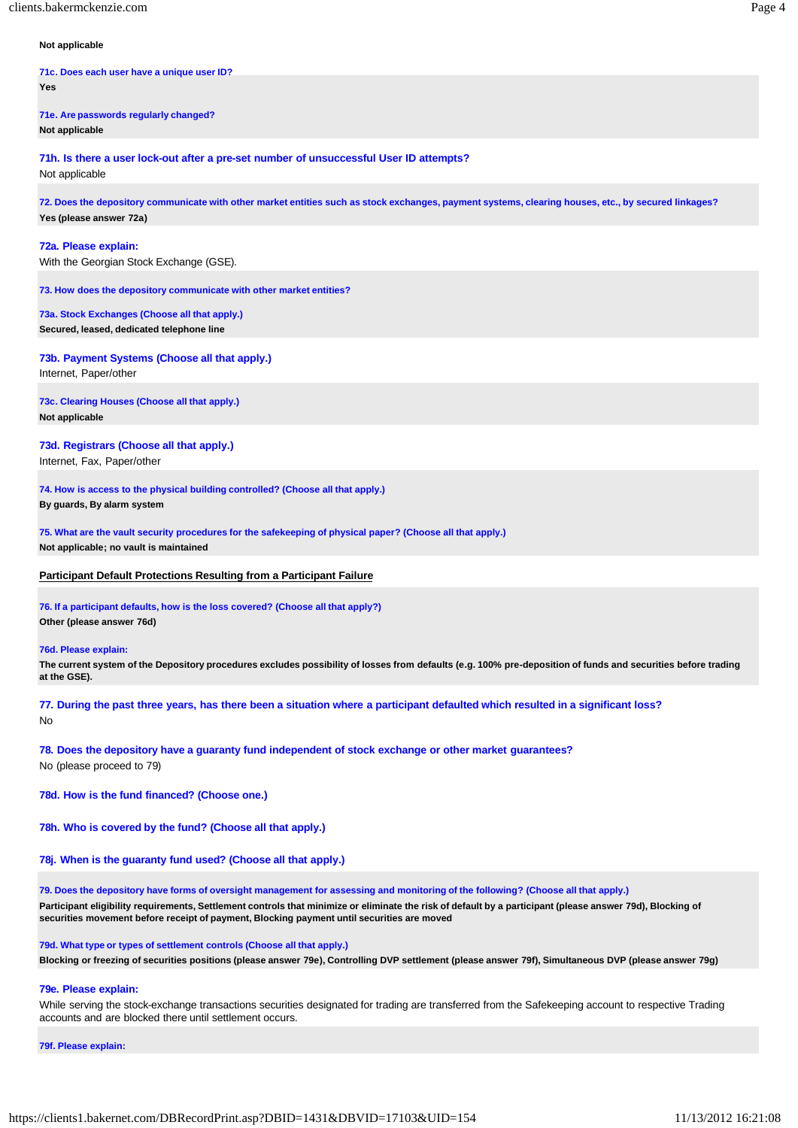# **Not applicable**

**71c. Does each user have a unique user ID? Yes**

**71e. Are passwords regularly changed? Not applicable**

**71h. Is there a user lock-out after a pre-set number of unsuccessful User ID attempts?** Not applicable

72. Does the depository communicate with other market entities such as stock exchanges, payment systems, clearing houses, etc., by secured linkages? **Yes (please answer 72a)**

**72a. Please explain:**

With the Georgian Stock Exchange (GSE).

**73. How does the depository communicate with other market entities?**

**73a. Stock Exchanges (Choose all that apply.) Secured, leased, dedicated telephone line**

**73b. Payment Systems (Choose all that apply.)**

Internet, Paper/other

**73c. Clearing Houses (Choose all that apply.) Not applicable**

**73d. Registrars (Choose all that apply.)** Internet, Fax, Paper/other

**74. How is access to the physical building controlled? (Choose all that apply.) By guards, By alarm system**

**75. What are the vault security procedures for the safekeeping of physical paper? (Choose all that apply.) Not applicable; no vault is maintained**

**Participant Default Protections Resulting from a Participant Failure**

**76. If a participant defaults, how is the loss covered? (Choose all that apply?) Other (please answer 76d)**

## **76d. Please explain:**

The current system of the Depository procedures excludes possibility of losses from defaults (e.g. 100% pre-deposition of funds and securities before trading **at the GSE).**

77. During the past three years, has there been a situation where a participant defaulted which resulted in a significant loss? No

**78. Does the depository have a guaranty fund independent of stock exchange or other market guarantees?** No (please proceed to 79)

**78d. How is the fund financed? (Choose one.)**

**78h. Who is covered by the fund? (Choose all that apply.)**

**78j. When is the guaranty fund used? (Choose all that apply.)**

**79. Does the depository have forms of oversight management for assessing and monitoring of the following? (Choose all that apply.)** Participant eligibility requirements, Settlement controls that minimize or eliminate the risk of default by a participant (please answer 79d), Blocking of **securities movement before receipt of payment, Blocking payment until securities are moved**

**79d. What type or types of settlement controls (Choose all that apply.)**

Blocking or freezing of securities positions (please answer 79e), Controlling DVP settlement (please answer 79f), Simultaneous DVP (please answer 79g)

# **79e. Please explain:**

While serving the stock-exchange transactions securities designated for trading are transferred from the Safekeeping account to respective Trading accounts and are blocked there until settlement occurs.

**79f. Please explain:**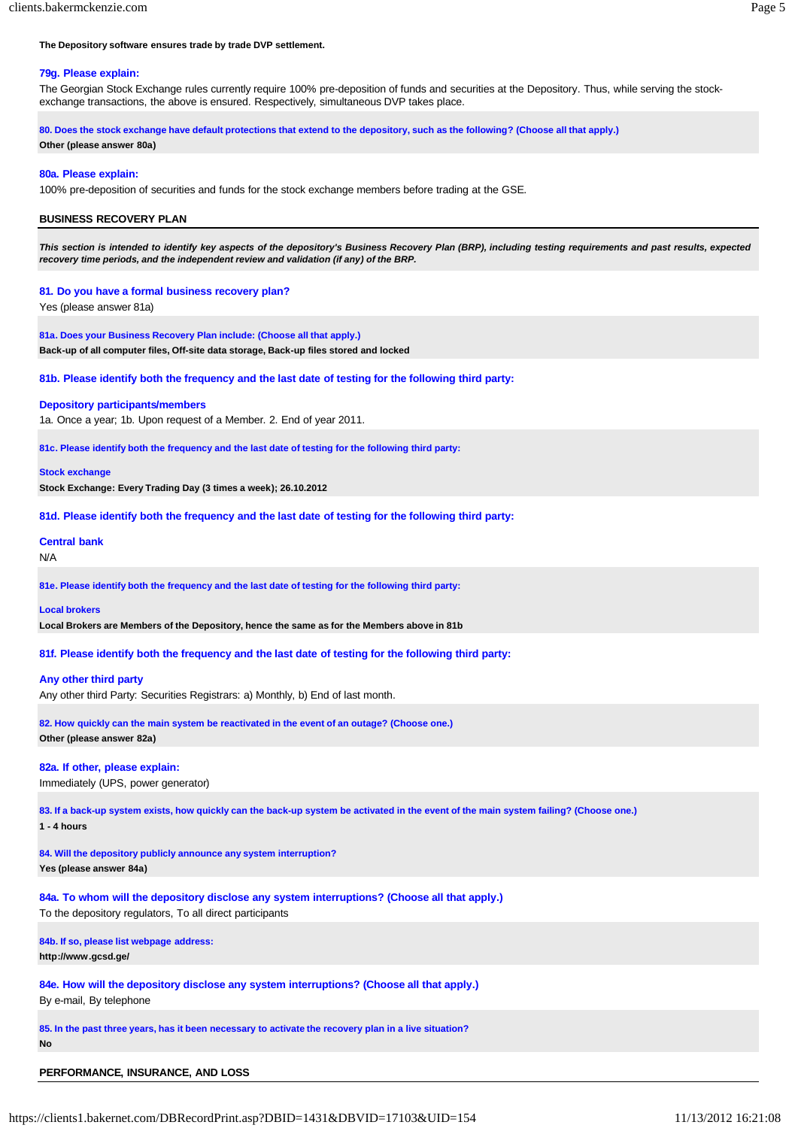# **The Depository software ensures trade by trade DVP settlement.**

## **79g. Please explain:**

The Georgian Stock Exchange rules currently require 100% pre-deposition of funds and securities at the Depository. Thus, while serving the stockexchange transactions, the above is ensured. Respectively, simultaneous DVP takes place.

**80. Does the stock exchange have default protections that extend to the depository, such as the following? (Choose all that apply.)**

#### **Other (please answer 80a)**

# **80a. Please explain:**

100% pre-deposition of securities and funds for the stock exchange members before trading at the GSE.

# **BUSINESS RECOVERY PLAN**

*This section is intended to identify key aspects of the depository's Business Recovery Plan (BRP), including testing requirements and past results, expected recovery time periods, and the independent review and validation (if any) of the BRP.*

## **81. Do you have a formal business recovery plan?**

Yes (please answer 81a)

**81a. Does your Business Recovery Plan include: (Choose all that apply.) Back-up of all computer files, Off-site data storage, Back-up files stored and locked**

# **81b. Please identify both the frequency and the last date of testing for the following third party:**

#### **Depository participants/members**

1a. Once a year; 1b. Upon request of a Member. 2. End of year 2011.

**81c. Please identify both the frequency and the last date of testing for the following third party:**

#### **Stock exchange**

**Stock Exchange: Every Trading Day (3 times a week); 26.10.2012**

**81d. Please identify both the frequency and the last date of testing for the following third party:**

# **Central bank** N/A

**81e. Please identify both the frequency and the last date of testing for the following third party:**

#### **Local brokers**

**Local Brokers are Members of the Depository, hence the same as for the Members above in 81b**

**81f. Please identify both the frequency and the last date of testing for the following third party:**

## **Any other third party**

Any other third Party: Securities Registrars: a) Monthly, b) End of last month.

# **82. How quickly can the main system be reactivated in the event of an outage? (Choose one.) Other (please answer 82a)**

## **82a. If other, please explain:**

Immediately (UPS, power generator)

**83. If a back-up system exists, how quickly can the back-up system be activated in the event of the main system failing? (Choose one.) 1 - 4 hours**

**84. Will the depository publicly announce any system interruption? Yes (please answer 84a)**

**84a. To whom will the depository disclose any system interruptions? (Choose all that apply.)** To the depository regulators, To all direct participants

# **84b. If so, please list webpage address:**

**http://www.gcsd.ge/**

**84e. How will the depository disclose any system interruptions? (Choose all that apply.)**

By e-mail, By telephone

**85. In the past three years, has it been necessary to activate the recovery plan in a live situation? No**

# **PERFORMANCE, INSURANCE, AND LOSS**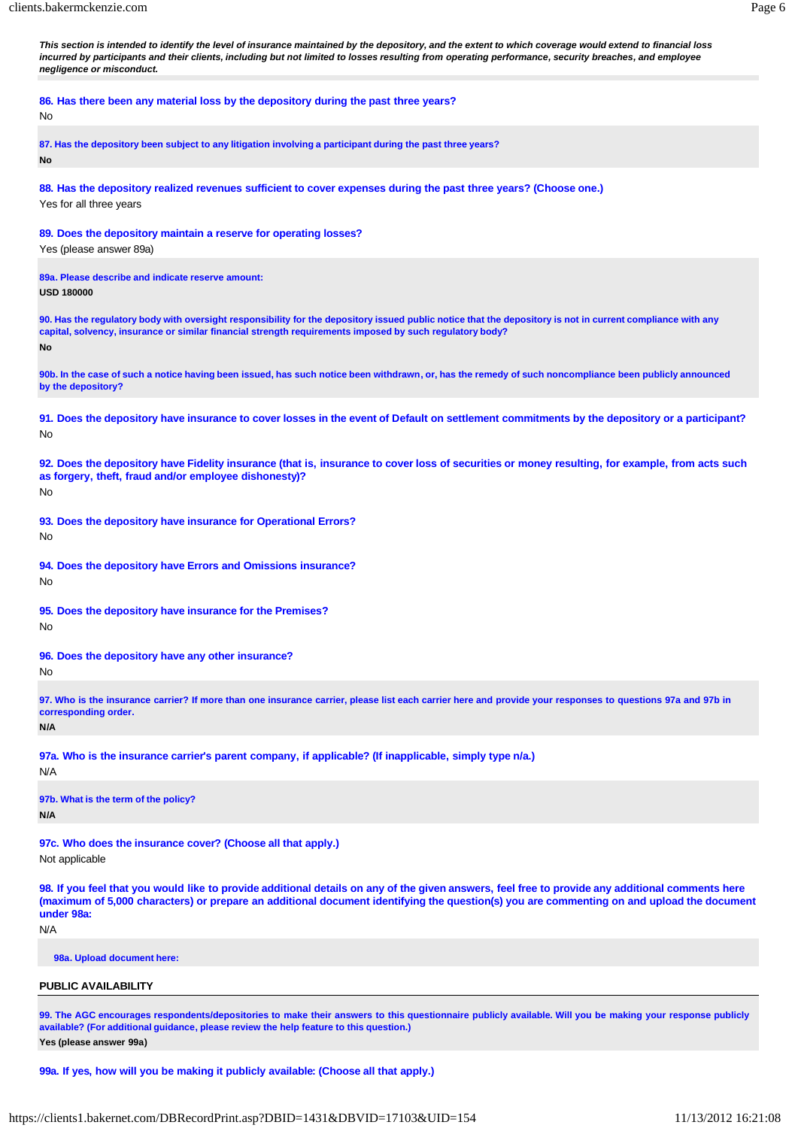*This section is intended to identify the level of insurance maintained by the depository, and the extent to which coverage would extend to financial loss incurred by participants and their clients, including but not limited to losses resulting from operating performance, security breaches, and employee negligence or misconduct.*

**86. Has there been any material loss by the depository during the past three years?**

#### No

**87. Has the depository been subject to any litigation involving a participant during the past three years? No**

**88. Has the depository realized revenues sufficient to cover expenses during the past three years? (Choose one.)** Yes for all three years

**89. Does the depository maintain a reserve for operating losses?**

Yes (please answer 89a)

**89a. Please describe and indicate reserve amount:**

**USD 180000**

**90. Has the regulatory body with oversight responsibility for the depository issued public notice that the depository is not in current compliance with any capital, solvency, insurance or similar financial strength requirements imposed by such regulatory body? No**

90b. In the case of such a notice having been issued, has such notice been withdrawn, or, has the remedy of such noncompliance been publicly announced **by the depository?**

91. Does the depository have insurance to cover losses in the event of Default on settlement commitments by the depository or a participant? No

92. Does the depository have Fidelity insurance (that is, insurance to cover loss of securities or money resulting, for example, from acts such **as forgery, theft, fraud and/or employee dishonesty)?** No

**93. Does the depository have insurance for Operational Errors?** No

**94. Does the depository have Errors and Omissions insurance?** No

**95. Does the depository have insurance for the Premises?**

No

**96. Does the depository have any other insurance?**

No

97. Who is the insurance carrier? If more than one insurance carrier, please list each carrier here and provide your responses to questions 97a and 97b in **corresponding order.**

**N/A**

**97a. Who is the insurance carrier's parent company, if applicable? (If inapplicable, simply type n/a.)**

N/A

**97b. What is the term of the policy? N/A**

**97c. Who does the insurance cover? (Choose all that apply.)** Not applicable

98. If you feel that you would like to provide additional details on any of the given answers, feel free to provide any additional comments here (maximum of 5,000 characters) or prepare an additional document identifying the question(s) you are commenting on and upload the document **under 98a:**

N/A

**98a. Upload document here:**

**PUBLIC AVAILABILITY**

99. The AGC encourages respondents/depositories to make their answers to this questionnaire publicly available. Will you be making your response publicly **available? (For additional guidance, please review the help feature to this question.) Yes (please answer 99a)**

**99a. If yes, how will you be making it publicly available: (Choose all that apply.)**